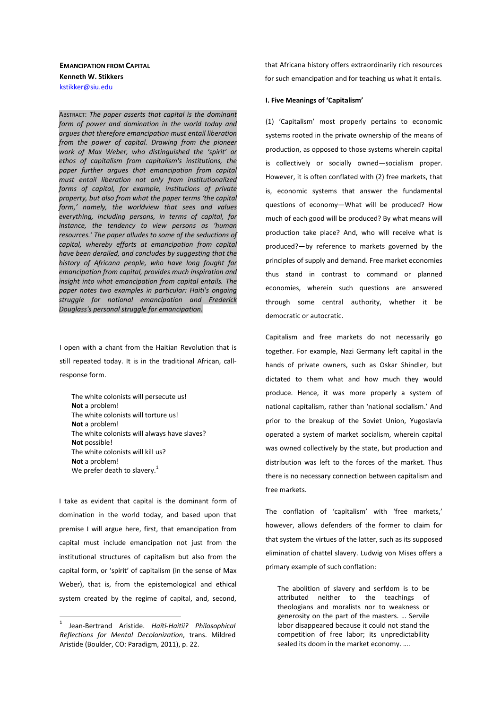# **EMANCIPATION FROM CAPITAL Kenneth W. Stikkers**  kstikker@siu.edu

ABSTRACT: *The paper asserts that capital is the dominant form of power and domination in the world today and argues that therefore emancipation must entail liberation from the power of capital. Drawing from the pioneer work of Max Weber, who distinguished the 'spirit' or ethos of capitalism from capitalism's institutions, the paper further argues that emancipation from capital must entail liberation not only from institutionalized forms of capital, for example, institutions of private property, but also from what the paper terms 'the capital form,' namely, the worldview that sees and values everything, including persons, in terms of capital, for instance, the tendency to view persons as 'human resources.' The paper alludes to some of the seductions of capital, whereby efforts at emancipation from capital have been derailed, and concludes by suggesting that the history of Africana people, who have long fought for emancipation from capital, provides much inspiration and insight into what emancipation from capital entails. The paper notes two examples in particular: Haiti's ongoing struggle for national emancipation and Frederick Douglass's personal struggle for emancipation.*

I open with a chant from the Haitian Revolution that is still repeated today. It is in the traditional African, callresponse form.

The white colonists will persecute us! **Not** a problem! The white colonists will torture us! **Not** a problem! The white colonists will always have slaves? **Not** possible! The white colonists will kill us? **Not** a problem! We prefer death to slavery.<sup>1</sup>

I take as evident that capital is the dominant form of domination in the world today, and based upon that premise I will argue here, first, that emancipation from capital must include emancipation not just from the institutional structures of capitalism but also from the capital form, or 'spirit' of capitalism (in the sense of Max Weber), that is, from the epistemological and ethical system created by the regime of capital, and, second,

 $\overline{a}$ 

that Africana history offers extraordinarily rich resources for such emancipation and for teaching us what it entails.

### **I. Five Meanings of 'Capitalism'**

(1) 'Capitalism' most properly pertains to economic systems rooted in the private ownership of the means of production, as opposed to those systems wherein capital is collectively or socially owned—socialism proper. However, it is often conflated with (2) free markets, that is, economic systems that answer the fundamental questions of economy—What will be produced? How much of each good will be produced? By what means will production take place? And, who will receive what is produced?—by reference to markets governed by the principles of supply and demand. Free market economies thus stand in contrast to command or planned economies, wherein such questions are answered through some central authority, whether it be democratic or autocratic.

Capitalism and free markets do not necessarily go together. For example, Nazi Germany left capital in the hands of private owners, such as Oskar Shindler, but dictated to them what and how much they would produce. Hence, it was more properly a system of national capitalism, rather than 'national socialism.' And prior to the breakup of the Soviet Union, Yugoslavia operated a system of market socialism, wherein capital was owned collectively by the state, but production and distribution was left to the forces of the market. Thus there is no necessary connection between capitalism and free markets.

The conflation of 'capitalism' with 'free markets,' however, allows defenders of the former to claim for that system the virtues of the latter, such as its supposed elimination of chattel slavery. Ludwig von Mises offers a primary example of such conflation:

The abolition of slavery and serfdom is to be attributed neither to the teachings of theologians and moralists nor to weakness or generosity on the part of the masters. … Servile labor disappeared because it could not stand the competition of free labor; its unpredictability sealed its doom in the market economy. ….

<sup>1</sup> Jean-Bertrand Aristide. *Haїti-Haitii? Philosophical Reflections for Mental Decolonization*, trans. Mildred Aristide (Boulder, CO: Paradigm, 2011), p. 22.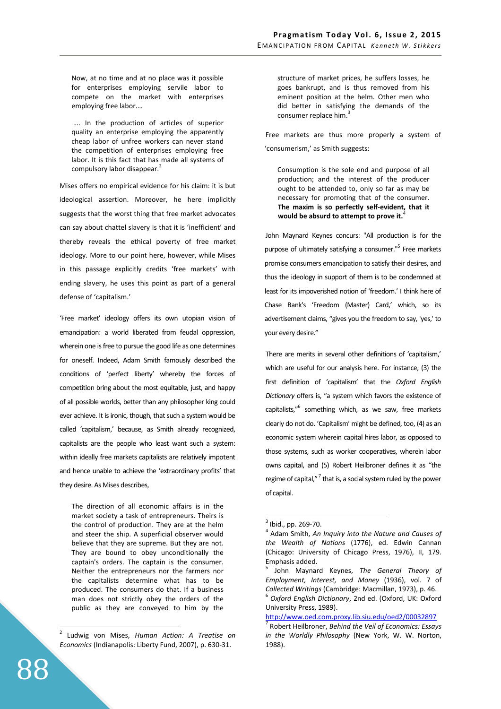Now, at no time and at no place was it possible for enterprises employing servile labor to compete on the market with enterprises employing free labor.…

 …. In the production of articles of superior quality an enterprise employing the apparently cheap labor of unfree workers can never stand the competition of enterprises employing free labor. It is this fact that has made all systems of compulsory labor disappear.<sup>2</sup>

Mises offers no empirical evidence for his claim: it is but ideological assertion. Moreover, he here implicitly suggests that the worst thing that free market advocates can say about chattel slavery is that it is 'inefficient' and thereby reveals the ethical poverty of free market ideology. More to our point here, however, while Mises in this passage explicitly credits 'free markets' with ending slavery, he uses this point as part of a general defense of 'capitalism.'

'Free market' ideology offers its own utopian vision of emancipation: a world liberated from feudal oppression, wherein one is free to pursue the good life as one determines for oneself. Indeed, Adam Smith famously described the conditions of 'perfect liberty' whereby the forces of competition bring about the most equitable, just, and happy of all possible worlds, better than any philosopher king could ever achieve. It is ironic, though, that such a system would be called 'capitalism,' because, as Smith already recognized, capitalists are the people who least want such a system: within ideally free markets capitalists are relatively impotent and hence unable to achieve the 'extraordinary profits' that they desire. As Mises describes,

The direction of all economic affairs is in the market society a task of entrepreneurs. Theirs is the control of production. They are at the helm and steer the ship. A superficial observer would believe that they are supreme. But they are not. They are bound to obey unconditionally the captain's orders. The captain is the consumer. Neither the entrepreneurs nor the farmers nor the capitalists determine what has to be produced. The consumers do that. If a business man does not strictly obey the orders of the public as they are conveyed to him by the

 2 Ludwig von Mises, *Human Action: A Treatise on Economics* (Indianapolis: Liberty Fund, 2007), p. 630-31.

structure of market prices, he suffers losses, he goes bankrupt, and is thus removed from his eminent position at the helm. Other men who did better in satisfying the demands of the consumer replace him.<sup>3</sup>

Free markets are thus more properly a system of 'consumerism,' as Smith suggests:

Consumption is the sole end and purpose of all production; and the interest of the producer ought to be attended to, only so far as may be necessary for promoting that of the consumer. **The maxim is so perfectly self-evident, that it would be absurd to attempt to prove it.**<sup>4</sup>

John Maynard Keynes concurs: "All production is for the purpose of ultimately satisfying a consumer."<sup>5</sup> Free markets promise consumers emancipation to satisfy their desires, and thus the ideology in support of them is to be condemned at least for its impoverished notion of 'freedom.' I think here of Chase Bank's 'Freedom (Master) Card,' which, so its advertisement claims, "gives you the freedom to say, 'yes,' to your every desire."

There are merits in several other definitions of 'capitalism,' which are useful for our analysis here. For instance, (3) the first definition of 'capitalism' that the *Oxford English Dictionary* offers is, "a system which favors the existence of capitalists,"<sup>6</sup> something which, as we saw, free markets clearly do not do. 'Capitalism' might be defined, too, (4) as an economic system wherein capital hires labor, as opposed to those systems, such as worker cooperatives, wherein labor owns capital, and (5) Robert Heilbroner defines it as "the regime of capital," $7$  that is, a social system ruled by the power of capital.

 $\overline{a}$ 

http://www.oed.com.proxy.lib.siu.edu/oed2/00032897

 $3$  Ibid., pp. 269-70.

<sup>4</sup> Adam Smith, *An Inquiry into the Nature and Causes of the Wealth of Nations* (1776), ed. Edwin Cannan (Chicago: University of Chicago Press, 1976), II, 179. Emphasis added.

<sup>5</sup> John Maynard Keynes, *The General Theory of Employment, Interest, and Money* (1936), vol. 7 of *Collected Writings* (Cambridge: Macmillan, 1973), p. 46. 6 *Oxford English Dictionary*, 2nd ed. (Oxford, UK: Oxford University Press, 1989).

<sup>7</sup> Robert Heilbroner, *Behind the Veil of Economics: Essays in the Worldly Philosophy* (New York, W. W. Norton, 1988).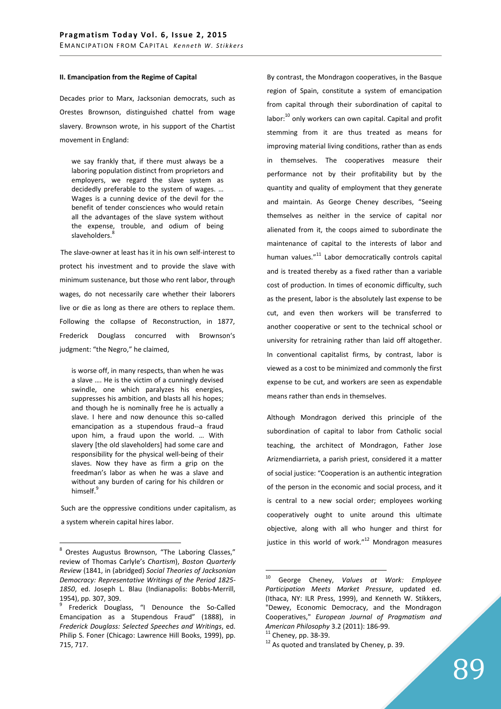#### **II. Emancipation from the Regime of Capital**

Decades prior to Marx, Jacksonian democrats, such as Orestes Brownson, distinguished chattel from wage slavery. Brownson wrote, in his support of the Chartist movement in England:

we say frankly that, if there must always be a laboring population distinct from proprietors and employers, we regard the slave system as decidedly preferable to the system of wages. … Wages is a cunning device of the devil for the benefit of tender consciences who would retain all the advantages of the slave system without the expense, trouble, and odium of being slaveholders.<sup>8</sup>

The slave-owner at least has it in his own self-interest to protect his investment and to provide the slave with minimum sustenance, but those who rent labor, through wages, do not necessarily care whether their laborers live or die as long as there are others to replace them. Following the collapse of Reconstruction, in 1877, Frederick Douglass concurred with Brownson's judgment: "the Negro," he claimed,

is worse off, in many respects, than when he was a slave …. He is the victim of a cunningly devised swindle, one which paralyzes his energies, suppresses his ambition, and blasts all his hopes; and though he is nominally free he is actually a slave. I here and now denounce this so-called emancipation as a stupendous fraud--a fraud upon him, a fraud upon the world. … With slavery [the old slaveholders] had some care and responsibility for the physical well-being of their slaves. Now they have as firm a grip on the freedman's labor as when he was a slave and without any burden of caring for his children or himself.<sup>9</sup>

Such are the oppressive conditions under capitalism, as a system wherein capital hires labor.

 $\overline{a}$ 

By contrast, the Mondragon cooperatives, in the Basque region of Spain, constitute a system of emancipation from capital through their subordination of capital to labor:<sup>10</sup> only workers can own capital. Capital and profit stemming from it are thus treated as means for improving material living conditions, rather than as ends in themselves. The cooperatives measure their performance not by their profitability but by the quantity and quality of employment that they generate and maintain. As George Cheney describes, "Seeing themselves as neither in the service of capital nor alienated from it, the coops aimed to subordinate the maintenance of capital to the interests of labor and human values."<sup>11</sup> Labor democratically controls capital and is treated thereby as a fixed rather than a variable cost of production. In times of economic difficulty, such as the present, labor is the absolutely last expense to be cut, and even then workers will be transferred to another cooperative or sent to the technical school or university for retraining rather than laid off altogether. In conventional capitalist firms, by contrast, labor is viewed as a cost to be minimized and commonly the first expense to be cut, and workers are seen as expendable means rather than ends in themselves.

Although Mondragon derived this principle of the subordination of capital to labor from Catholic social teaching, the architect of Mondragon, Father Jose Arizmendiarrieta, a parish priest, considered it a matter of social justice: "Cooperation is an authentic integration of the person in the economic and social process, and it is central to a new social order; employees working cooperatively ought to unite around this ultimate objective, along with all who hunger and thirst for justice in this world of work. $12$  Mondragon measures

<sup>&</sup>lt;sup>8</sup> Orestes Augustus Brownson, "The Laboring Classes," review of Thomas Carlyle's *Chartism*), *Boston Quarterly Review* (1841, in (abridged) *Social Theories of Jacksonian Democracy: Representative Writings of the Period 1825- 1850*, ed. Joseph L. Blau (Indianapolis: Bobbs-Merrill, 1954), pp. 307, 309.

<sup>9</sup> Frederick Douglass, "I Denounce the So-Called Emancipation as a Stupendous Fraud" (1888), in *Frederick Douglass: Selected Speeches and Writings*, ed. Philip S. Foner (Chicago: Lawrence Hill Books, 1999), pp. 715, 717.

 $10$ <sup>10</sup> George Cheney, *Values at Work: Employee Participation Meets Market Pressure*, updated ed. (Ithaca, NY: ILR Press, 1999), and Kenneth W. Stikkers, "Dewey, Economic Democracy, and the Mondragon Cooperatives," *European Journal of Pragmatism and American Philosophy* 3.2 (2011): 186-99.  $11$  Cheney, pp. 38-39.

<sup>&</sup>lt;sup>12</sup> As quoted and translated by Cheney, p. 39.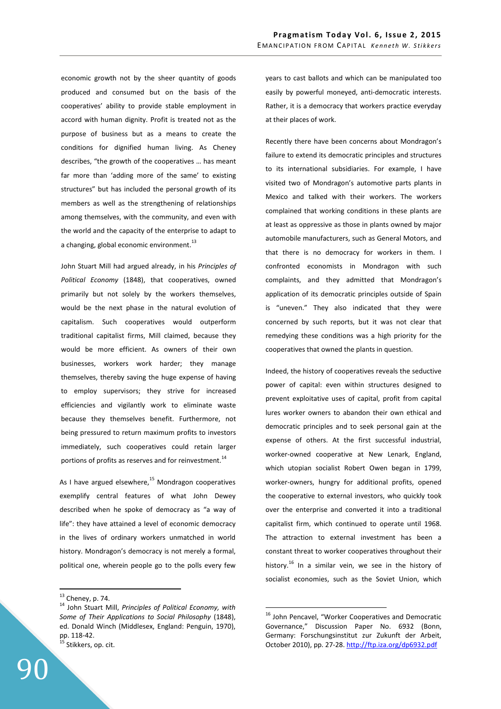economic growth not by the sheer quantity of goods produced and consumed but on the basis of the cooperatives' ability to provide stable employment in accord with human dignity. Profit is treated not as the purpose of business but as a means to create the conditions for dignified human living. As Cheney describes, "the growth of the cooperatives … has meant far more than 'adding more of the same' to existing structures" but has included the personal growth of its members as well as the strengthening of relationships among themselves, with the community, and even with the world and the capacity of the enterprise to adapt to a changing, global economic environment. $^{13}$ 

John Stuart Mill had argued already, in his *Principles of Political Economy* (1848), that cooperatives, owned primarily but not solely by the workers themselves, would be the next phase in the natural evolution of capitalism. Such cooperatives would outperform traditional capitalist firms, Mill claimed, because they would be more efficient. As owners of their own businesses, workers work harder; they manage themselves, thereby saving the huge expense of having to employ supervisors; they strive for increased efficiencies and vigilantly work to eliminate waste because they themselves benefit. Furthermore, not being pressured to return maximum profits to investors immediately, such cooperatives could retain larger portions of profits as reserves and for reinvestment.<sup>14</sup>

As I have argued elsewhere, $15$  Mondragon cooperatives exemplify central features of what John Dewey described when he spoke of democracy as "a way of life": they have attained a level of economic democracy in the lives of ordinary workers unmatched in world history. Mondragon's democracy is not merely a formal, political one, wherein people go to the polls every few

 $\overline{a}$ 

90

years to cast ballots and which can be manipulated too easily by powerful moneyed, anti-democratic interests. Rather, it is a democracy that workers practice everyday at their places of work.

Recently there have been concerns about Mondragon's failure to extend its democratic principles and structures to its international subsidiaries. For example, I have visited two of Mondragon's automotive parts plants in Mexico and talked with their workers. The workers complained that working conditions in these plants are at least as oppressive as those in plants owned by major automobile manufacturers, such as General Motors, and that there is no democracy for workers in them. I confronted economists in Mondragon with such complaints, and they admitted that Mondragon's application of its democratic principles outside of Spain is "uneven." They also indicated that they were concerned by such reports, but it was not clear that remedying these conditions was a high priority for the cooperatives that owned the plants in question.

Indeed, the history of cooperatives reveals the seductive power of capital: even within structures designed to prevent exploitative uses of capital, profit from capital lures worker owners to abandon their own ethical and democratic principles and to seek personal gain at the expense of others. At the first successful industrial, worker-owned cooperative at New Lenark, England, which utopian socialist Robert Owen began in 1799, worker-owners, hungry for additional profits, opened the cooperative to external investors, who quickly took over the enterprise and converted it into a traditional capitalist firm, which continued to operate until 1968. The attraction to external investment has been a constant threat to worker cooperatives throughout their history.<sup>16</sup> In a similar vein, we see in the history of socialist economies, such as the Soviet Union, which

 $13$  Cheney, p. 74.

<sup>14</sup> John Stuart Mill, *Principles of Political Economy, with Some of Their Applications to Social Philosophy* (1848), ed. Donald Winch (Middlesex, England: Penguin, 1970), pp. 118-42.

<sup>&</sup>lt;sup>16</sup> John Pencavel, "Worker Cooperatives and Democratic Governance," Discussion Paper No. 6932 (Bonn, Germany: Forschungsinstitut zur Zukunft der Arbeit, October 2010), pp. 27-28. http://ftp.iza.org/dp6932.pdf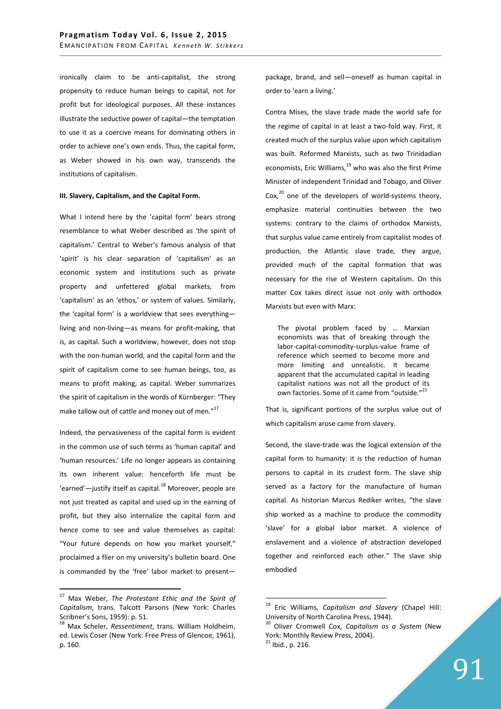ironically claim to be anti-capitalist, the strong propensity to reduce human beings to capital, not for profit but for ideological purposes. All these instances illustrate the seductive power of capital—the temptation to use it as a coercive means for dominating others in order to achieve one's own ends. Thus, the capital form, as Weber showed in his own way, transcends the institutions of capitalism.

#### **III. Slavery, Capitalism, and the Capital Form.**

What I intend here by the 'capital form' bears strong resemblance to what Weber described as 'the spirit of capitalism.' Central to Weber's famous analysis of that 'spirit' is his clear separation of 'capitalism' as an economic system and institutions such as private property and unfettered global markets, from 'capitalism' as an 'ethos,' or system of values. Similarly, the 'capital form' is a worldview that sees everything living and non-living—as means for profit-making, that is, as capital. Such a worldview, however, does not stop with the non-human world, and the capital form and the spirit of capitalism come to see human beings, too, as means to profit making, as capital. Weber summarizes the spirit of capitalism in the words of Kürnberger: "They make tallow out of cattle and money out of men."<sup>17</sup>

Indeed, the pervasiveness of the capital form is evident in the common use of such terms as 'human capital' and 'human resources.' Life no longer appears as containing its own inherent value: henceforth life must be 'earned' $-$ justify itself as capital.<sup>18</sup> Moreover, people are not just treated as capital and used up in the earning of profit, but they also internalize the capital form and hence come to see and value themselves as capital: "Your future depends on how you market yourself," proclaimed a flier on my university's bulletin board. One is commanded by the 'free' labor market to present—

 $\overline{a}$ 

package, brand, and sell—oneself as human capital in order to 'earn a living.'

Contra Mises, the slave trade made the world safe for the regime of capital in at least a two-fold way. First, it created much of the surplus value upon which capitalism was built. Reformed Marxists, such as two Trinidadian economists, Eric Williams, $19$  who was also the first Prime Minister of independent Trinidad and Tobago, and Oliver  $\text{Cox}^{\text{20}}$  one of the developers of world-systems theory, emphasize material continuities between the two systems: contrary to the claims of orthodox Marxists, that surplus value came entirely from capitalist modes of production, the Atlantic slave trade, they argue, provided much of the capital formation that was necessary for the rise of Western capitalism. On this matter Cox takes direct issue not only with orthodox Marxists but even with Marx:

The pivotal problem faced by … Marxian economists was that of breaking through the labor-capital-commodity-surplus-value frame of reference which seemed to become more and more limiting and unrealistic. It became apparent that the accumulated capital in leading capitalist nations was not all the product of its own factories. Some of it came from "outside."<sup>21</sup>

That is, significant portions of the surplus value out of which capitalism arose came from slavery.

Second, the slave-trade was the logical extension of the capital form to humanity: it is the reduction of human persons to capital in its crudest form. The slave ship served as a factory for the manufacture of human capital. As historian Marcus Rediker writes, "the slave ship worked as a machine to produce the commodity 'slave' for a global labor market. A violence of enslavement and a violence of abstraction developed together and reinforced each other." The slave ship embodied

<sup>17</sup> Max Weber, *The Protestant Ethic and the Spirit of Capitalism*, trans. Talcott Parsons (New York: Charles Scribner's Sons, 1959): p. 51.

<sup>18</sup> Max Scheler, *Ressentiment*, trans. William Holdheim, ed. Lewis Coser (New York: Free Press of Glencoe, 1961), p. 160.

<sup>19</sup> Eric Williams, *Capitalism and Slavery* (Chapel Hill: University of North Carolina Press, 1944).

<sup>20</sup> Oliver Cromwell Cox, *Capitalism as a System* (New York: Monthly Review Press, 2004).  $21$  Ibid., p. 216.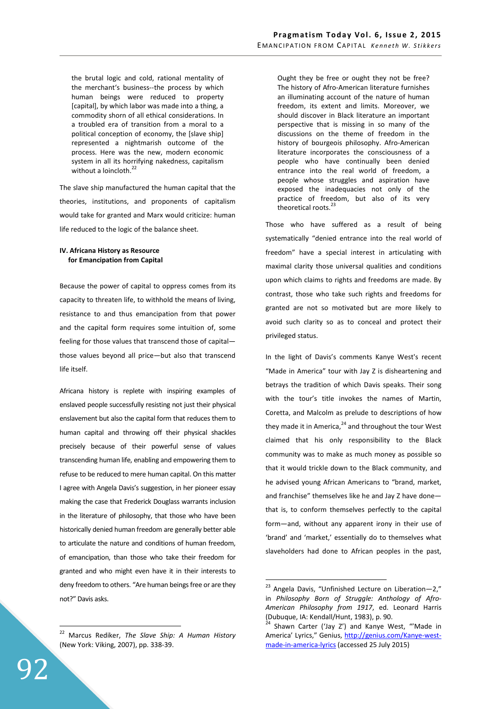the brutal logic and cold, rational mentality of the merchant's business--the process by which human beings were reduced to property [capital], by which labor was made into a thing, a commodity shorn of all ethical considerations. In a troubled era of transition from a moral to a political conception of economy, the [slave ship] represented a nightmarish outcome of the process. Here was the new, modern economic system in all its horrifying nakedness, capitalism without a loincloth.<sup>22</sup>

The slave ship manufactured the human capital that the theories, institutions, and proponents of capitalism would take for granted and Marx would criticize: human life reduced to the logic of the balance sheet.

## **IV. Africana History as Resource for Emancipation from Capital**

Because the power of capital to oppress comes from its capacity to threaten life, to withhold the means of living, resistance to and thus emancipation from that power and the capital form requires some intuition of, some feeling for those values that transcend those of capital those values beyond all price—but also that transcend life itself.

Africana history is replete with inspiring examples of enslaved people successfully resisting not just their physical enslavement but also the capital form that reduces them to human capital and throwing off their physical shackles precisely because of their powerful sense of values transcending human life, enabling and empowering them to refuse to be reduced to mere human capital. On this matter I agree with Angela Davis's suggestion, in her pioneer essay making the case that Frederick Douglass warrants inclusion in the literature of philosophy, that those who have been historically denied human freedom are generally better able to articulate the nature and conditions of human freedom, of emancipation, than those who take their freedom for granted and who might even have it in their interests to deny freedom to others. "Are human beings free or are they not?" Davis asks.

Ought they be free or ought they not be free? The history of Afro-American literature furnishes an illuminating account of the nature of human freedom, its extent and limits. Moreover, we should discover in Black literature an important perspective that is missing in so many of the discussions on the theme of freedom in the history of bourgeois philosophy. Afro-American literature incorporates the consciousness of a people who have continually been denied entrance into the real world of freedom, a people whose struggles and aspiration have exposed the inadequacies not only of the practice of freedom, but also of its very theoretical roots.<sup>23</sup>

Those who have suffered as a result of being systematically "denied entrance into the real world of freedom" have a special interest in articulating with maximal clarity those universal qualities and conditions upon which claims to rights and freedoms are made. By contrast, those who take such rights and freedoms for granted are not so motivated but are more likely to avoid such clarity so as to conceal and protect their privileged status.

In the light of Davis's comments Kanye West's recent "Made in America" tour with Jay Z is disheartening and betrays the tradition of which Davis speaks. Their song with the tour's title invokes the names of Martin, Coretta, and Malcolm as prelude to descriptions of how they made it in America, $^{24}$  and throughout the tour West claimed that his only responsibility to the Black community was to make as much money as possible so that it would trickle down to the Black community, and he advised young African Americans to "brand, market, and franchise" themselves like he and Jay Z have done that is, to conform themselves perfectly to the capital form—and, without any apparent irony in their use of 'brand' and 'market,' essentially do to themselves what slaveholders had done to African peoples in the past,

 $\overline{a}$ <sup>22</sup> Marcus Rediker, *The Slave Ship: A Human History* (New York: Viking, 2007), pp. 338-39.

 $23$  Angela Davis, "Unfinished Lecture on Liberation-2," in *Philosophy Born of Struggle: Anthology of Afro-American Philosophy from 1917*, ed. Leonard Harris (Dubuque, IA: Kendall/Hunt, 1983), p. 90.

<sup>&</sup>lt;sup>24</sup> Shawn Carter ('Jay Z') and Kanye West, "'Made in America' Lyrics," Genius, http://genius.com/Kanye-westmade-in-america-lyrics (accessed 25 July 2015)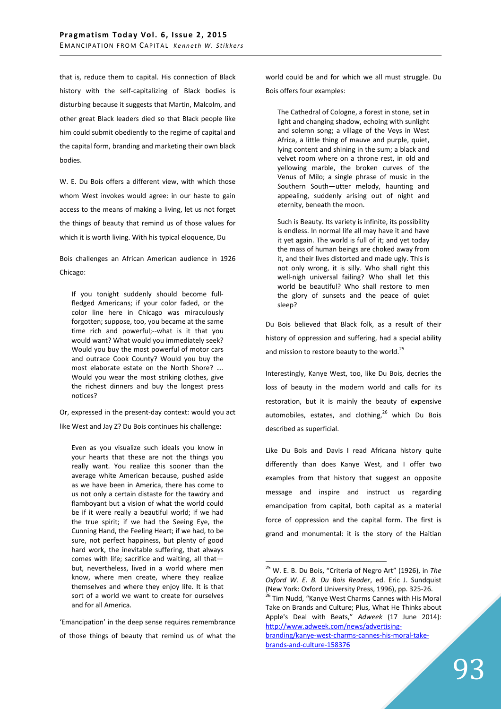that is, reduce them to capital. His connection of Black history with the self-capitalizing of Black bodies is disturbing because it suggests that Martin, Malcolm, and other great Black leaders died so that Black people like him could submit obediently to the regime of capital and the capital form, branding and marketing their own black bodies.

W. E. Du Bois offers a different view, with which those whom West invokes would agree: in our haste to gain access to the means of making a living, let us not forget the things of beauty that remind us of those values for which it is worth living. With his typical eloquence, Du

Bois challenges an African American audience in 1926 Chicago:

If you tonight suddenly should become fullfledged Americans; if your color faded, or the color line here in Chicago was miraculously forgotten; suppose, too, you became at the same time rich and powerful;--what is it that you would want? What would you immediately seek? Would you buy the most powerful of motor cars and outrace Cook County? Would you buy the most elaborate estate on the North Shore? …. Would you wear the most striking clothes, give the richest dinners and buy the longest press notices?

Or, expressed in the present-day context: would you act

like West and Jay Z? Du Bois continues his challenge:

Even as you visualize such ideals you know in your hearts that these are not the things you really want. You realize this sooner than the average white American because, pushed aside as we have been in America, there has come to us not only a certain distaste for the tawdry and flamboyant but a vision of what the world could be if it were really a beautiful world; if we had the true spirit; if we had the Seeing Eye, the Cunning Hand, the Feeling Heart; if we had, to be sure, not perfect happiness, but plenty of good hard work, the inevitable suffering, that always comes with life; sacrifice and waiting, all that but, nevertheless, lived in a world where men know, where men create, where they realize themselves and where they enjoy life. It is that sort of a world we want to create for ourselves and for all America.

'Emancipation' in the deep sense requires remembrance of those things of beauty that remind us of what the world could be and for which we all must struggle. Du Bois offers four examples:

The Cathedral of Cologne, a forest in stone, set in light and changing shadow, echoing with sunlight and solemn song; a village of the Veys in West Africa, a little thing of mauve and purple, quiet, lying content and shining in the sum; a black and velvet room where on a throne rest, in old and yellowing marble, the broken curves of the Venus of Milo; a single phrase of music in the Southern South—utter melody, haunting and appealing, suddenly arising out of night and eternity, beneath the moon.

Such is Beauty. Its variety is infinite, its possibility is endless. In normal life all may have it and have it yet again. The world is full of it; and yet today the mass of human beings are choked away from it, and their lives distorted and made ugly. This is not only wrong, it is silly. Who shall right this well-nigh universal failing? Who shall let this world be beautiful? Who shall restore to men the glory of sunsets and the peace of quiet sleep?

Du Bois believed that Black folk, as a result of their history of oppression and suffering, had a special ability and mission to restore beauty to the world.<sup>25</sup>

Interestingly, Kanye West, too, like Du Bois, decries the loss of beauty in the modern world and calls for its restoration, but it is mainly the beauty of expensive automobiles, estates, and clothing,<sup>26</sup> which Du Bois described as superficial.

Like Du Bois and Davis I read Africana history quite differently than does Kanye West, and I offer two examples from that history that suggest an opposite message and inspire and instruct us regarding emancipation from capital, both capital as a material force of oppression and the capital form. The first is grand and monumental: it is the story of the Haitian

<sup>25</sup> W. E. B. Du Bois, "Criteria of Negro Art" (1926), in *The Oxford W. E. B. Du Bois Reader*, ed. Eric J. Sundquist (New York: Oxford University Press, 1996), pp. 325-26. <sup>26</sup> Tim Nudd, "Kanye West Charms Cannes with His Moral Take on Brands and Culture; Plus, What He Thinks about Apple's Deal with Beats," *Adweek* (17 June 2014): http://www.adweek.com/news/advertisingbranding/kanye-west-charms-cannes-his-moral-takebrands-and-culture-158376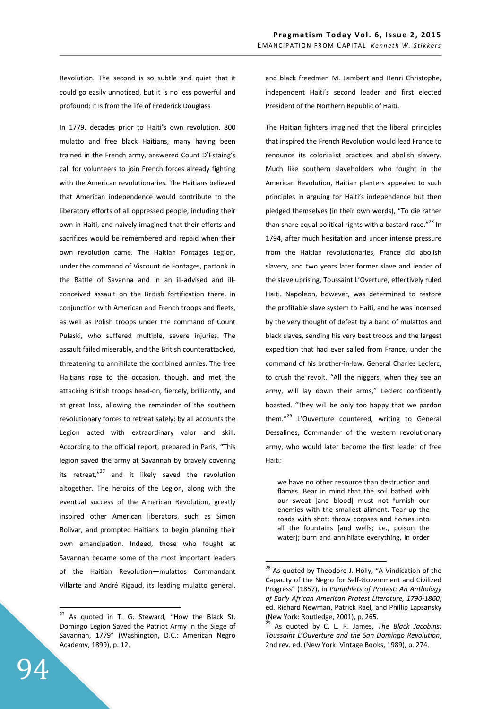Revolution. The second is so subtle and quiet that it could go easily unnoticed, but it is no less powerful and profound: it is from the life of Frederick Douglass

In 1779, decades prior to Haiti's own revolution, 800 mulatto and free black Haitians, many having been trained in the French army, answered Count D'Estaing's call for volunteers to join French forces already fighting with the American revolutionaries. The Haitians believed that American independence would contribute to the liberatory efforts of all oppressed people, including their own in Haiti, and naively imagined that their efforts and sacrifices would be remembered and repaid when their own revolution came. The Haitian Fontages Legion, under the command of Viscount de Fontages, partook in the Battle of Savanna and in an ill-advised and illconceived assault on the British fortification there, in conjunction with American and French troops and fleets, as well as Polish troops under the command of Count Pulaski, who suffered multiple, severe injuries. The assault failed miserably, and the British counterattacked, threatening to annihilate the combined armies. The free Haitians rose to the occasion, though, and met the attacking British troops head-on, fiercely, brilliantly, and at great loss, allowing the remainder of the southern revolutionary forces to retreat safely: by all accounts the Legion acted with extraordinary valor and skill. According to the official report, prepared in Paris, "This legion saved the army at Savannah by bravely covering its retreat, $n^{27}$  and it likely saved the revolution altogether. The heroics of the Legion, along with the eventual success of the American Revolution, greatly inspired other American liberators, such as Simon Bolivar, and prompted Haitians to begin planning their own emancipation. Indeed, those who fought at Savannah became some of the most important leaders of the Haitian Revolution—mulattos Commandant Villarte and André Rigaud, its leading mulatto general, and black freedmen M. Lambert and Henri Christophe, independent Haiti's second leader and first elected President of the Northern Republic of Haiti.

The Haitian fighters imagined that the liberal principles that inspired the French Revolution would lead France to renounce its colonialist practices and abolish slavery. Much like southern slaveholders who fought in the American Revolution, Haitian planters appealed to such principles in arguing for Haiti's independence but then pledged themselves (in their own words), "To die rather than share equal political rights with a bastard race."<sup>28</sup> In 1794, after much hesitation and under intense pressure from the Haitian revolutionaries, France did abolish slavery, and two years later former slave and leader of the slave uprising, Toussaint L'Overture, effectively ruled Haiti. Napoleon, however, was determined to restore the profitable slave system to Haiti, and he was incensed by the very thought of defeat by a band of mulattos and black slaves, sending his very best troops and the largest expedition that had ever sailed from France, under the command of his brother-in-law, General Charles Leclerc, to crush the revolt. "All the niggers, when they see an army, will lay down their arms," Leclerc confidently boasted. "They will be only too happy that we pardon them."<sup>29</sup> L'Ouverture countered, writing to General Dessalines, Commander of the western revolutionary army, who would later become the first leader of free Haiti:

we have no other resource than destruction and flames. Bear in mind that the soil bathed with our sweat [and blood] must not furnish our enemies with the smallest aliment. Tear up the roads with shot; throw corpses and horses into all the fountains [and wells; i.e., poison the water]; burn and annihilate everything, in order

 $\overline{a}$ 

 $27$  As quoted in T. G. Steward, "How the Black St. Domingo Legion Saved the Patriot Army in the Siege of Savannah, 1779" (Washington, D.C.: American Negro Academy, 1899), p. 12.

<sup>&</sup>lt;sup>28</sup> As quoted by Theodore J. Holly, "A Vindication of the Capacity of the Negro for Self-Government and Civilized Progress" (1857), in *Pamphlets of Protest: An Anthology of Early African American Protest Literature, 1790-1860*, ed. Richard Newman, Patrick Rael, and Phillip Lapsansky (New York: Routledge, 2001), p. 265.

<sup>29</sup> As quoted by C. L. R. James, *The Black Jacobins: Toussaint L'Ouverture and the San Domingo Revolution*, 2nd rev. ed. (New York: Vintage Books, 1989), p. 274.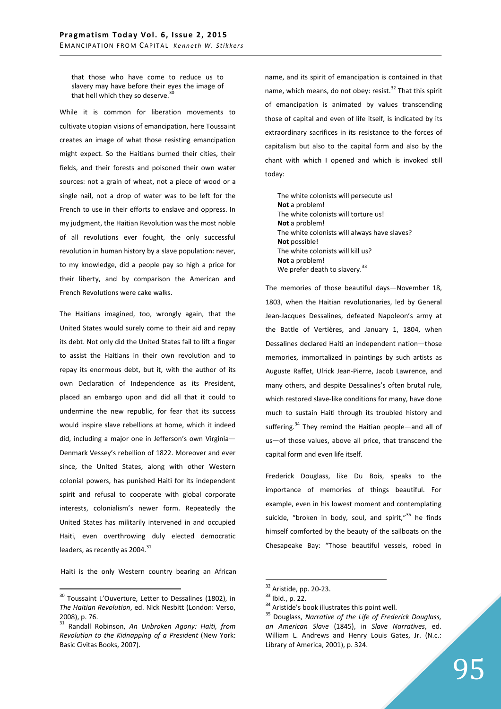that those who have come to reduce us to slavery may have before their eyes the image of that hell which they so deserve. $3$ 

While it is common for liberation movements to cultivate utopian visions of emancipation, here Toussaint creates an image of what those resisting emancipation might expect. So the Haitians burned their cities, their fields, and their forests and poisoned their own water sources: not a grain of wheat, not a piece of wood or a single nail, not a drop of water was to be left for the French to use in their efforts to enslave and oppress. In my judgment, the Haitian Revolution was the most noble of all revolutions ever fought, the only successful revolution in human history by a slave population: never, to my knowledge, did a people pay so high a price for their liberty, and by comparison the American and French Revolutions were cake walks.

The Haitians imagined, too, wrongly again, that the United States would surely come to their aid and repay its debt. Not only did the United States fail to lift a finger to assist the Haitians in their own revolution and to repay its enormous debt, but it, with the author of its own Declaration of Independence as its President, placed an embargo upon and did all that it could to undermine the new republic, for fear that its success would inspire slave rebellions at home, which it indeed did, including a major one in Jefferson's own Virginia— Denmark Vessey's rebellion of 1822. Moreover and ever since, the United States, along with other Western colonial powers, has punished Haiti for its independent spirit and refusal to cooperate with global corporate interests, colonialism's newer form. Repeatedly the United States has militarily intervened in and occupied Haiti, even overthrowing duly elected democratic leaders, as recently as 2004.<sup>31</sup>

Haiti is the only Western country bearing an African

 $\overline{a}$ 

name, and its spirit of emancipation is contained in that name, which means, do not obey: resist.<sup>32</sup> That this spirit of emancipation is animated by values transcending those of capital and even of life itself, is indicated by its extraordinary sacrifices in its resistance to the forces of capitalism but also to the capital form and also by the chant with which I opened and which is invoked still today:

The white colonists will persecute us! **Not** a problem! The white colonists will torture us! **Not** a problem! The white colonists will always have slaves? **Not** possible! The white colonists will kill us? **Not** a problem! We prefer death to slavery.<sup>33</sup>

The memories of those beautiful days—November 18, 1803, when the Haitian revolutionaries, led by General Jean-Jacques Dessalines, defeated Napoleon's army at the Battle of Vertières, and January 1, 1804, when Dessalines declared Haiti an independent nation—those memories, immortalized in paintings by such artists as Auguste Raffet, Ulrick Jean-Pierre, Jacob Lawrence, and many others, and despite Dessalines's often brutal rule, which restored slave-like conditions for many, have done much to sustain Haiti through its troubled history and suffering. $34$  They remind the Haitian people—and all of us—of those values, above all price, that transcend the capital form and even life itself.

Frederick Douglass, like Du Bois, speaks to the importance of memories of things beautiful. For example, even in his lowest moment and contemplating suicide, "broken in body, soul, and spirit," $35$  he finds himself comforted by the beauty of the sailboats on the Chesapeake Bay: "Those beautiful vessels, robed in

<sup>&</sup>lt;sup>30</sup> Toussaint L'Ouverture, Letter to Dessalines (1802), in *The Haitian Revolution*, ed. Nick Nesbitt (London: Verso, 2008), p. 76.

<sup>31</sup> Randall Robinson, *An Unbroken Agony: Haiti, from Revolution to the Kidnapping of a President* (New York: Basic Civitas Books, 2007).

 $32$  Aristide, pp. 20-23.

<sup>33</sup> Ibid., p. 22.

<sup>&</sup>lt;sup>34</sup> Aristide's book illustrates this point well.

<sup>35</sup> Douglass, *Narrative of the Life of Frederick Douglass, an American Slave* (1845), in *Slave Narratives*, ed. William L. Andrews and Henry Louis Gates, Jr. (N.c.: Library of America, 2001), p. 324.